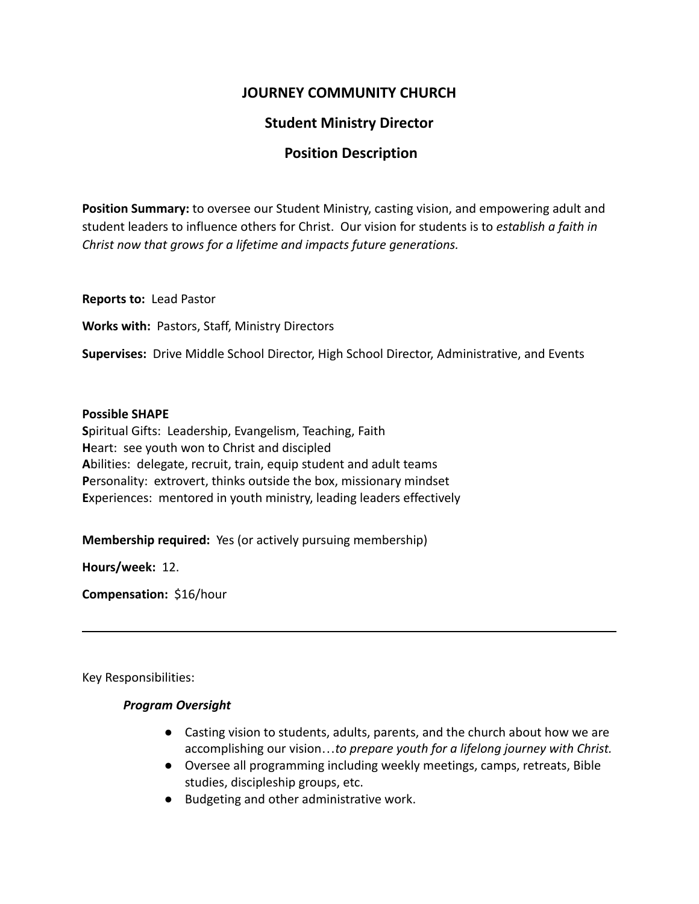# **JOURNEY COMMUNITY CHURCH**

# **Student Ministry Director**

## **Position Description**

**Position Summary:** to oversee our Student Ministry, casting vision, and empowering adult and student leaders to influence others for Christ. Our vision for students is to *establish a faith in Christ now that grows for a lifetime and impacts future generations.*

**Reports to:** Lead Pastor

**Works with:** Pastors, Staff, Ministry Directors

**Supervises:** Drive Middle School Director, High School Director, Administrative, and Events

#### **Possible SHAPE**

**S**piritual Gifts: Leadership, Evangelism, Teaching, Faith **H**eart: see youth won to Christ and discipled **A**bilities: delegate, recruit, train, equip student and adult teams **P**ersonality: extrovert, thinks outside the box, missionary mindset **E**xperiences: mentored in youth ministry, leading leaders effectively

**Membership required:** Yes (or actively pursuing membership)

**Hours/week:** 12.

**Compensation:** \$16/hour

Key Responsibilities:

### *Program Oversight*

- *●* Casting vision to students, adults, parents, and the church about how we are accomplishing our vision…*to prepare youth for a lifelong journey with Christ.*
- *●* Oversee all programming including weekly meetings, camps, retreats, Bible studies, discipleship groups, etc.
- *●* Budgeting and other administrative work.